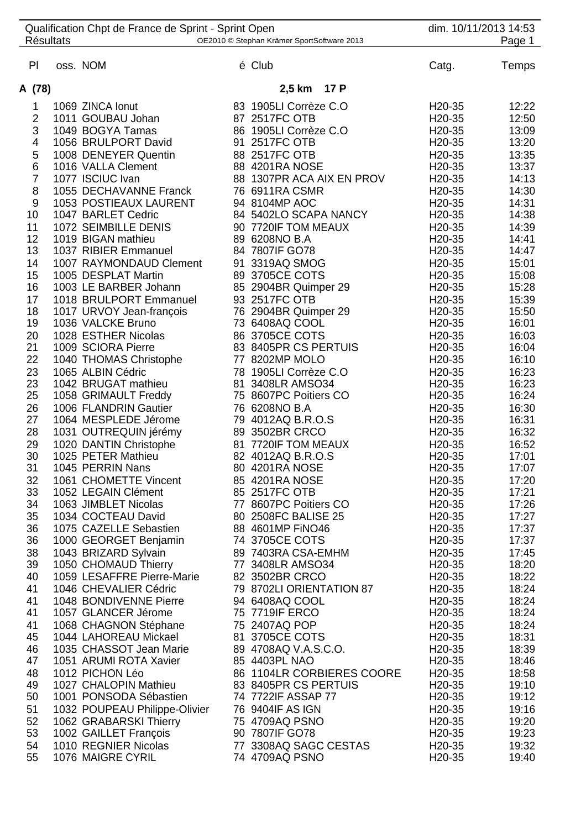| Qualification Chpt de France de Sprint - Sprint Open<br><b>Résultats</b> |  |                                                   | OE2010 © Stephan Krämer SportSoftware 2013 | dim. 10/11/2013 14:53<br>Page 1            |                |  |
|--------------------------------------------------------------------------|--|---------------------------------------------------|--------------------------------------------|--------------------------------------------|----------------|--|
|                                                                          |  |                                                   |                                            |                                            |                |  |
| P <sub>1</sub>                                                           |  | oss. NOM                                          | é Club                                     | Catg.                                      | Temps          |  |
| A (78)                                                                   |  |                                                   | 2,5 km 17 P                                |                                            |                |  |
| 1                                                                        |  | 1069 ZINCA lonut                                  | 83 1905LI Corrèze C.O                      | H <sub>20</sub> -35                        | 12:22          |  |
| $\overline{\mathbf{c}}$                                                  |  | 1011 GOUBAU Johan                                 | 87 2517FC OTB                              | H <sub>20</sub> -35                        | 12:50          |  |
| 3                                                                        |  | 1049 BOGYA Tamas                                  | 86 1905LI Corrèze C.O                      | H <sub>20</sub> -35                        | 13:09          |  |
| 4                                                                        |  | 1056 BRULPORT David                               | 91 2517FC OTB                              | H <sub>20</sub> -35                        | 13:20          |  |
| 5                                                                        |  | 1008 DENEYER Quentin                              | 88 2517FC OTB                              | H <sub>20</sub> -35                        | 13:35          |  |
| 6                                                                        |  | 1016 VALLA Clement                                | 88 4201RA NOSE                             | H <sub>20</sub> -35                        | 13:37          |  |
| $\overline{7}$                                                           |  | 1077 ISCIUC Ivan                                  | 88 1307PR ACA AIX EN PROV                  | H <sub>20</sub> -35                        | 14:13          |  |
| 8                                                                        |  | 1055 DECHAVANNE Franck                            | 76 6911RA CSMR                             | H <sub>20</sub> -35                        | 14:30          |  |
| 9                                                                        |  | 1053 POSTIEAUX LAURENT                            | 94 8104MP AOC                              | H <sub>20</sub> -35                        | 14:31          |  |
| 10                                                                       |  | 1047 BARLET Cedric                                | 84 5402LO SCAPA NANCY                      | H <sub>20</sub> -35                        | 14:38          |  |
| 11                                                                       |  | 1072 SEIMBILLE DENIS                              | 90 7720IF TOM MEAUX                        | H20-35                                     | 14:39          |  |
| 12                                                                       |  | 1019 BIGAN mathieu                                | 89 6208NO B.A                              | H <sub>20</sub> -35                        | 14:41          |  |
| 13                                                                       |  | 1037 RIBIER Emmanuel                              | 84 7807IF GO78                             | H <sub>20</sub> -35                        | 14:47          |  |
| 14                                                                       |  | 1007 RAYMONDAUD Clement                           | 91 3319AQ SMOG                             | H <sub>20</sub> -35                        | 15:01          |  |
| 15                                                                       |  | 1005 DESPLAT Martin                               | 89 3705CE COTS                             | H <sub>20</sub> -35                        | 15:08          |  |
| 16                                                                       |  | 1003 LE BARBER Johann                             | 85 2904BR Quimper 29                       | H <sub>20</sub> -35                        | 15:28          |  |
| 17                                                                       |  | 1018 BRULPORT Emmanuel                            | 93 2517FC OTB                              | H <sub>20</sub> -35                        | 15:39          |  |
| 18                                                                       |  | 1017 URVOY Jean-françois                          | 76 2904BR Quimper 29                       | H <sub>20</sub> -35                        | 15:50          |  |
| 19                                                                       |  | 1036 VALCKE Bruno                                 | 73 6408AQ COOL                             | H <sub>20</sub> -35                        | 16:01          |  |
| 20                                                                       |  | 1028 ESTHER Nicolas                               | 86 3705CE COTS                             | H <sub>20</sub> -35                        | 16:03          |  |
| 21                                                                       |  | 1009 SCIORA Pierre                                | 83 8405PR CS PERTUIS                       | H <sub>20</sub> -35                        | 16:04          |  |
| 22<br>23                                                                 |  | 1040 THOMAS Christophe<br>1065 ALBIN Cédric       | 77 8202MP MOLO<br>78 1905LI Corrèze C.O    | H <sub>20</sub> -35<br>H20-35              | 16:10<br>16:23 |  |
| 23                                                                       |  | 1042 BRUGAT mathieu                               | 81 3408LR AMSO34                           | H <sub>20</sub> -35                        | 16:23          |  |
| 25                                                                       |  | 1058 GRIMAULT Freddy                              | 75 8607PC Poitiers CO                      | H <sub>20</sub> -35                        | 16:24          |  |
| 26                                                                       |  | 1006 FLANDRIN Gautier                             | 76 6208NO B.A                              | H <sub>20</sub> -35                        | 16:30          |  |
| 27                                                                       |  | 1064 MESPLEDE Jérome                              | 79 4012AQ B.R.O.S                          | H <sub>20</sub> -35                        | 16:31          |  |
| 28                                                                       |  | 1031 OUTREQUIN jérémy                             | 89 3502BR CRCO                             | H20-35                                     | 16:32          |  |
| 29                                                                       |  | 1020 DANTIN Christophe                            | 81 7720IF TOM MEAUX                        | H <sub>20</sub> -35                        | 16:52          |  |
| 30                                                                       |  | 1025 PETER Mathieu                                | 82 4012AQ B.R.O.S                          | H <sub>20</sub> -35                        | 17:01          |  |
| 31                                                                       |  | 1045 PERRIN Nans                                  | 80 4201RA NOSE                             | H <sub>20</sub> -35                        | 17:07          |  |
| 32                                                                       |  | 1061 CHOMETTE Vincent                             | 85 4201RA NOSE                             | H <sub>20</sub> -35                        | 17:20          |  |
| 33                                                                       |  | 1052 LEGAIN Clément                               | 85 2517FC OTB                              | H <sub>20</sub> -35                        | 17:21          |  |
| 34                                                                       |  | 1063 JIMBLET Nicolas                              | 77 8607PC Poitiers CO                      | H <sub>20</sub> -35                        | 17:26          |  |
| 35                                                                       |  | 1034 COCTEAU David                                | 80 2508FC BALISE 25                        | H20-35                                     | 17:27          |  |
| 36                                                                       |  | 1075 CAZELLE Sebastien                            | 88 4601MP FINO46                           | H <sub>20</sub> -35                        | 17:37          |  |
| 36                                                                       |  | 1000 GEORGET Benjamin                             | 74 3705CE COTS                             | H <sub>20</sub> -35                        | 17:37          |  |
| 38                                                                       |  | 1043 BRIZARD Sylvain                              | 89 7403RA CSA-EMHM                         | H <sub>20</sub> -35                        | 17:45          |  |
| 39                                                                       |  | 1050 CHOMAUD Thierry                              | 77 3408LR AMSO34                           | H <sub>20</sub> -35                        | 18:20          |  |
| 40                                                                       |  | 1059 LESAFFRE Pierre-Marie                        | 82 3502BR CRCO                             | H <sub>20</sub> -35                        | 18:22          |  |
| 41                                                                       |  | 1046 CHEVALIER Cédric                             | 79 8702LI ORIENTATION 87                   | H <sub>20</sub> -35                        | 18:24          |  |
| 41                                                                       |  | 1048 BONDIVENNE Pierre                            | 94 6408AQ COOL                             | H <sub>20</sub> -35                        | 18:24          |  |
| 41                                                                       |  | 1057 GLANCER Jérome                               | 75 7719IF ERCO                             | H <sub>20</sub> -35                        | 18:24          |  |
| 41                                                                       |  | 1068 CHAGNON Stéphane                             | 75 2407AQ POP                              | H <sub>20</sub> -35                        | 18:24          |  |
| 45<br>46                                                                 |  | 1044 LAHOREAU Mickael                             | 81 3705CE COTS                             | H <sub>20</sub> -35                        | 18:31          |  |
| 47                                                                       |  | 1035 CHASSOT Jean Marie<br>1051 ARUMI ROTA Xavier | 89 4708AQ V.A.S.C.O.<br>85 4403PL NAO      | H <sub>20</sub> -35<br>H <sub>20</sub> -35 | 18:39<br>18:46 |  |
| 48                                                                       |  | 1012 PICHON Léo                                   | 86 1104LR CORBIERES COORE                  | H <sub>20</sub> -35                        | 18:58          |  |
| 49                                                                       |  | 1027 CHALOPIN Mathieu                             | 83 8405PR CS PERTUIS                       | H20-35                                     | 19:10          |  |
| 50                                                                       |  | 1001 PONSODA Sébastien                            | 74 7722IF ASSAP 77                         | H <sub>20</sub> -35                        | 19:12          |  |
| 51                                                                       |  | 1032 POUPEAU Philippe-Olivier                     | 76 9404IF AS IGN                           | H <sub>20</sub> -35                        | 19:16          |  |
| 52                                                                       |  | 1062 GRABARSKI Thierry                            | 75 4709AQ PSNO                             | H <sub>20</sub> -35                        | 19:20          |  |
| 53                                                                       |  | 1002 GAILLET François                             | 90 7807IF GO78                             | H <sub>20</sub> -35                        | 19:23          |  |
| 54                                                                       |  | 1010 REGNIER Nicolas                              | 77 3308AQ SAGC CESTAS                      | H <sub>20</sub> -35                        | 19:32          |  |
| 55                                                                       |  | 1076 MAIGRE CYRIL                                 | 74 4709AQ PSNO                             | H <sub>20</sub> -35                        | 19:40          |  |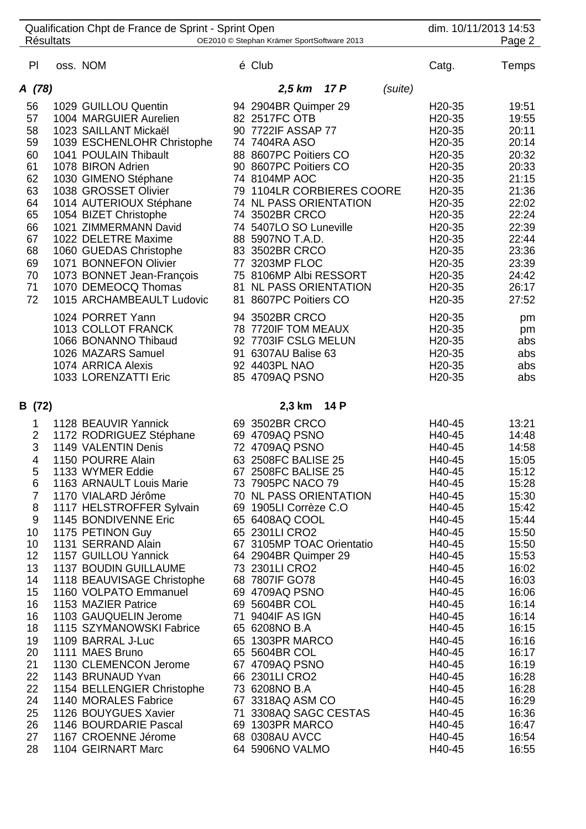| <b>Résultats</b> |                  |                                                                                                                                                                                                                                                                                                                                                                                                                                                                                                                                                                                                                                                                                                                                                                                                                                                                                                                                                                                                                                                                                                                                                                                                                                                                                                        |             |                                                                                                                                                                                                                                                                                                                                                                                                                                                                                                                                                                                                                                                                                                                                                                                                                                                                                                                                                                                                                                                                                                                                                                                                     |                                                                                                                                                                                                                                                                                                                                                                              | dim. 10/11/2013 14:53<br>Page 2                                                                                                              |
|------------------|------------------|--------------------------------------------------------------------------------------------------------------------------------------------------------------------------------------------------------------------------------------------------------------------------------------------------------------------------------------------------------------------------------------------------------------------------------------------------------------------------------------------------------------------------------------------------------------------------------------------------------------------------------------------------------------------------------------------------------------------------------------------------------------------------------------------------------------------------------------------------------------------------------------------------------------------------------------------------------------------------------------------------------------------------------------------------------------------------------------------------------------------------------------------------------------------------------------------------------------------------------------------------------------------------------------------------------|-------------|-----------------------------------------------------------------------------------------------------------------------------------------------------------------------------------------------------------------------------------------------------------------------------------------------------------------------------------------------------------------------------------------------------------------------------------------------------------------------------------------------------------------------------------------------------------------------------------------------------------------------------------------------------------------------------------------------------------------------------------------------------------------------------------------------------------------------------------------------------------------------------------------------------------------------------------------------------------------------------------------------------------------------------------------------------------------------------------------------------------------------------------------------------------------------------------------------------|------------------------------------------------------------------------------------------------------------------------------------------------------------------------------------------------------------------------------------------------------------------------------------------------------------------------------------------------------------------------------|----------------------------------------------------------------------------------------------------------------------------------------------|
|                  |                  |                                                                                                                                                                                                                                                                                                                                                                                                                                                                                                                                                                                                                                                                                                                                                                                                                                                                                                                                                                                                                                                                                                                                                                                                                                                                                                        |             |                                                                                                                                                                                                                                                                                                                                                                                                                                                                                                                                                                                                                                                                                                                                                                                                                                                                                                                                                                                                                                                                                                                                                                                                     |                                                                                                                                                                                                                                                                                                                                                                              | Temps                                                                                                                                        |
|                  |                  |                                                                                                                                                                                                                                                                                                                                                                                                                                                                                                                                                                                                                                                                                                                                                                                                                                                                                                                                                                                                                                                                                                                                                                                                                                                                                                        | 2,5 km 17 P |                                                                                                                                                                                                                                                                                                                                                                                                                                                                                                                                                                                                                                                                                                                                                                                                                                                                                                                                                                                                                                                                                                                                                                                                     |                                                                                                                                                                                                                                                                                                                                                                              |                                                                                                                                              |
|                  |                  |                                                                                                                                                                                                                                                                                                                                                                                                                                                                                                                                                                                                                                                                                                                                                                                                                                                                                                                                                                                                                                                                                                                                                                                                                                                                                                        |             |                                                                                                                                                                                                                                                                                                                                                                                                                                                                                                                                                                                                                                                                                                                                                                                                                                                                                                                                                                                                                                                                                                                                                                                                     | H <sub>20</sub> -35<br>H <sub>20</sub> -35<br>H <sub>20</sub> -35<br>H <sub>20</sub> -35<br>H <sub>20</sub> -35<br>H <sub>20</sub> -35<br>H <sub>20</sub> -35<br>H <sub>20</sub> -35<br>H <sub>20</sub> -35<br>H <sub>20</sub> -35<br>H <sub>20</sub> -35<br>H <sub>20</sub> -35<br>H <sub>20</sub> -35<br>H <sub>20</sub> -35<br>H <sub>20</sub> -35<br>H <sub>20</sub> -35 | 19:51<br>19:55<br>20:11<br>20:14<br>20:32<br>20:33<br>21:15<br>21:36<br>22:02<br>22:24<br>22:39<br>22:44<br>23:36<br>23:39<br>24:42<br>26:17 |
|                  |                  |                                                                                                                                                                                                                                                                                                                                                                                                                                                                                                                                                                                                                                                                                                                                                                                                                                                                                                                                                                                                                                                                                                                                                                                                                                                                                                        |             |                                                                                                                                                                                                                                                                                                                                                                                                                                                                                                                                                                                                                                                                                                                                                                                                                                                                                                                                                                                                                                                                                                                                                                                                     | H <sub>20</sub> -35<br>H <sub>20</sub> -35<br>H <sub>20</sub> -35<br>H <sub>20</sub> -35<br>H20-35<br>H <sub>20</sub> -35                                                                                                                                                                                                                                                    | 27:52<br>pm<br>pm<br>abs<br>abs<br>abs<br>abs                                                                                                |
|                  |                  |                                                                                                                                                                                                                                                                                                                                                                                                                                                                                                                                                                                                                                                                                                                                                                                                                                                                                                                                                                                                                                                                                                                                                                                                                                                                                                        |             |                                                                                                                                                                                                                                                                                                                                                                                                                                                                                                                                                                                                                                                                                                                                                                                                                                                                                                                                                                                                                                                                                                                                                                                                     |                                                                                                                                                                                                                                                                                                                                                                              |                                                                                                                                              |
|                  |                  |                                                                                                                                                                                                                                                                                                                                                                                                                                                                                                                                                                                                                                                                                                                                                                                                                                                                                                                                                                                                                                                                                                                                                                                                                                                                                                        |             |                                                                                                                                                                                                                                                                                                                                                                                                                                                                                                                                                                                                                                                                                                                                                                                                                                                                                                                                                                                                                                                                                                                                                                                                     | H40-45<br>H40-45<br>H40-45<br>H40-45<br>H40-45<br>H40-45<br>H40-45<br>H40-45                                                                                                                                                                                                                                                                                                 | 13:21<br>14:48<br>14:58<br>15:05<br>15:12<br>15:28<br>15:30<br>15:42<br>15:44                                                                |
|                  |                  |                                                                                                                                                                                                                                                                                                                                                                                                                                                                                                                                                                                                                                                                                                                                                                                                                                                                                                                                                                                                                                                                                                                                                                                                                                                                                                        |             |                                                                                                                                                                                                                                                                                                                                                                                                                                                                                                                                                                                                                                                                                                                                                                                                                                                                                                                                                                                                                                                                                                                                                                                                     | H40-45<br>H40-45<br>H40-45<br>H40-45<br>H40-45<br>H40-45<br>H40-45                                                                                                                                                                                                                                                                                                           | 15:50<br>15:50<br>15:53<br>16:02<br>16:03<br>16:06<br>16:14<br>16:14                                                                         |
|                  |                  |                                                                                                                                                                                                                                                                                                                                                                                                                                                                                                                                                                                                                                                                                                                                                                                                                                                                                                                                                                                                                                                                                                                                                                                                                                                                                                        |             |                                                                                                                                                                                                                                                                                                                                                                                                                                                                                                                                                                                                                                                                                                                                                                                                                                                                                                                                                                                                                                                                                                                                                                                                     | H40-45<br>H40-45<br>H40-45<br>H40-45<br>H40-45<br>H40-45<br>H40-45<br>H40-45<br>H40-45<br>H40-45                                                                                                                                                                                                                                                                             | 16:15<br>16:16<br>16:17<br>16:19<br>16:28<br>16:28<br>16:29<br>16:36<br>16:47<br>16:54<br>16:55                                              |
|                  | A (78)<br>B (72) | oss. NOM<br>1029 GUILLOU Quentin<br>1004 MARGUIER Aurelien<br>1023 SAILLANT Mickaël<br>1039 ESCHENLOHR Christophe<br>1041 POULAIN Thibault<br>1078 BIRON Adrien<br>1030 GIMENO Stéphane<br>1038 GROSSET Olivier<br>1014 AUTERIOUX Stéphane<br>1054 BIZET Christophe<br>1021 ZIMMERMANN David<br>1022 DELETRE Maxime<br>1060 GUEDAS Christophe<br>1071 BONNEFON Olivier<br>1073 BONNET Jean-François<br>1070 DEMEOCQ Thomas<br>1015 ARCHAMBEAULT Ludovic<br>1024 PORRET Yann<br>1013 COLLOT FRANCK<br>1066 BONANNO Thibaud<br>1026 MAZARS Samuel<br>1074 ARRICA Alexis<br>1033 LORENZATTI Eric<br>1128 BEAUVIR Yannick<br>1172 RODRIGUEZ Stéphane<br>1149 VALENTIN Denis<br>1150 POURRE Alain<br>1133 WYMER Eddie<br>1163 ARNAULT Louis Marie<br>1170 VIALARD Jérôme<br>1117 HELSTROFFER Sylvain<br>1145 BONDIVENNE Eric<br>1175 PETINON Guy<br>1131 SERRAND Alain<br>1157 GUILLOU Yannick<br><b>1137 BOUDIN GUILLAUME</b><br>1118 BEAUVISAGE Christophe<br>1160 VOLPATO Emmanuel<br>1153 MAZIER Patrice<br>1103 GAUQUELIN Jerome<br>1115 SZYMANOWSKI Fabrice<br>1109 BARRAL J-Luc<br>1111 MAES Bruno<br>1130 CLEMENCON Jerome<br>1143 BRUNAUD Yvan<br>1154 BELLENGIER Christophe<br>1140 MORALES Fabrice<br>1126 BOUYGUES Xavier<br>1146 BOURDARIE Pascal<br>1167 CROENNE Jérome<br>1104 GEIRNART Marc |             | Qualification Chpt de France de Sprint - Sprint Open<br>OE2010 © Stephan Krämer SportSoftware 2013<br>é Club<br>94 2904BR Quimper 29<br>82 2517FC OTB<br>90 7722IF ASSAP 77<br>74 7404RA ASO<br>88 8607PC Poitiers CO<br>90 8607PC Poitiers CO<br>74 8104MP AOC<br>74 NL PASS ORIENTATION<br>74 3502BR CRCO<br>74 5407LO SO Luneville<br>88 5907NO T.A.D.<br>83 3502BR CRCO<br>77 3203MP FLOC<br>75 8106MP Albi RESSORT<br>81 NL PASS ORIENTATION<br>81 8607PC Poitiers CO<br>94 3502BR CRCO<br>78 7720IF TOM MEAUX<br>92 7703IF CSLG MELUN<br>91 6307AU Balise 63<br>92 4403PL NAO<br>85 4709AQ PSNO<br>2,3 km 14 P<br>69 3502BR CRCO<br>69 4709AQ PSNO<br>72 4709AQ PSNO<br>63 2508FC BALISE 25<br>67 2508FC BALISE 25<br>73 7905PC NACO 79<br>70 NL PASS ORIENTATION<br>69 1905LI Corrèze C.O<br>65 6408AQ COOL<br>65 2301LI CRO2<br>67 3105MP TOAC Orientatio<br>64 2904BR Quimper 29<br>73 2301LI CRO2<br>68 7807IF GO78<br>69 4709AQ PSNO<br>69 5604BR COL<br>71 9404IF AS IGN<br>65 6208NO B.A<br>65 1303PR MARCO<br>65 5604BR COL<br>67 4709AQ PSNO<br>66 2301LI CRO2<br>73 6208NO B.A<br>67 3318AQ ASM CO<br>71 3308AQ SAGC CESTAS<br>69 1303PR MARCO<br>68 0308AU AVCC<br>64 5906NO VALMO | (suite)<br>79 1104LR CORBIERES COORE                                                                                                                                                                                                                                                                                                                                         | Catg.<br>H20-35<br>H40-45<br>H40-45<br>H40-45                                                                                                |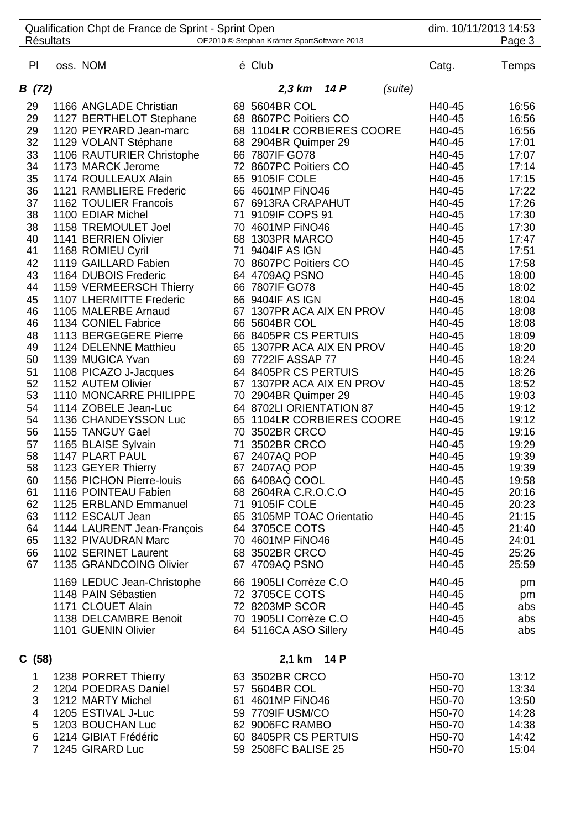|                | <b>Résultats</b> | Qualification Chpt de France de Sprint - Sprint Open | OE2010 © Stephan Krämer SportSoftware 2013  |                     | dim. 10/11/2013 14:53<br>Page 3 |
|----------------|------------------|------------------------------------------------------|---------------------------------------------|---------------------|---------------------------------|
|                |                  |                                                      |                                             |                     |                                 |
| P <sub>1</sub> |                  | oss. NOM                                             | é Club                                      | Catg.               | Temps                           |
| B (72)         |                  |                                                      | 2,3 km 14 P<br>(suite)                      |                     |                                 |
| 29             |                  | 1166 ANGLADE Christian                               | 68 5604BR COL                               | H40-45              | 16:56                           |
| 29             |                  | 1127 BERTHELOT Stephane                              | 68 8607PC Poitiers CO                       | H40-45              | 16:56                           |
| 29             |                  | 1120 PEYRARD Jean-marc                               | 68 1104LR CORBIERES COORE                   | H40-45              | 16:56                           |
| 32             |                  | 1129 VOLANT Stéphane                                 | 68 2904BR Quimper 29                        | H40-45              | 17:01                           |
| 33             |                  | 1106 RAUTURIER Christophe                            | 66 7807IF GO78                              | H40-45              | 17:07                           |
| 34             |                  | 1173 MARCK Jerome                                    | 72 8607PC Poitiers CO                       | H40-45              | 17:14                           |
| 35             |                  | 1174 ROULLEAUX Alain                                 | 65 9105IF COLE                              | H40-45              | 17:15                           |
| 36             |                  | 1121 RAMBLIERE Frederic                              | 66 4601MP FINO46                            | H40-45              | 17:22                           |
| 37             |                  | 1162 TOULIER Francois                                | 67 6913RA CRAPAHUT                          | H40-45              | 17:26                           |
| 38             |                  | 1100 EDIAR Michel                                    | 71 9109IF COPS 91                           | H40-45              | 17:30                           |
| 38             |                  | 1158 TREMOULET Joel                                  | 70 4601MP FINO46                            | H40-45              | 17:30                           |
| 40             |                  | 1141 BERRIEN Olivier                                 | 68 1303PR MARCO                             | H40-45              | 17:47                           |
| 41             |                  | 1168 ROMIEU Cyril                                    | 71 9404IF AS IGN                            | H40-45              | 17:51                           |
| 42             |                  | 1119 GAILLARD Fabien                                 | 70 8607PC Poitiers CO<br>64 4709AQ PSNO     | H40-45              | 17:58                           |
| 43<br>44       |                  | 1164 DUBOIS Frederic<br>1159 VERMEERSCH Thierry      | 66 7807IF GO78                              | H40-45<br>H40-45    | 18:00<br>18:02                  |
| 45             |                  | 1107 LHERMITTE Frederic                              | 66 9404IF AS IGN                            | H40-45              | 18:04                           |
| 46             |                  | 1105 MALERBE Arnaud                                  | 67 1307PR ACA AIX EN PROV                   | H40-45              | 18:08                           |
| 46             |                  | 1134 CONIEL Fabrice                                  | 66 5604BR COL                               | H40-45              | 18:08                           |
| 48             |                  | 1113 BERGEGERE Pierre                                | 66 8405PR CS PERTUIS                        | H40-45              | 18:09                           |
| 49             |                  | 1124 DELENNE Matthieu                                | 65 1307PR ACA AIX EN PROV                   | H40-45              | 18:20                           |
| 50             |                  | 1139 MUGICA Yvan                                     | 69 7722IF ASSAP 77                          | H40-45              | 18:24                           |
| 51             |                  | 1108 PICAZO J-Jacques                                | 64 8405PR CS PERTUIS                        | H40-45              | 18:26                           |
| 52             |                  | 1152 AUTEM Olivier                                   | 67 1307PR ACA AIX EN PROV                   | H40-45              | 18:52                           |
| 53             |                  | 1110 MONCARRE PHILIPPE                               | 70 2904BR Quimper 29                        | H40-45              | 19:03                           |
| 54             |                  | 1114 ZOBELE Jean-Luc                                 | 64 8702LI ORIENTATION 87                    | H40-45              | 19:12                           |
| 54             |                  | 1136 CHANDEYSSON Luc                                 | 65 1104LR CORBIERES COORE                   | H40-45              | 19:12                           |
| 56             |                  | 1155 TANGUY Gael                                     | 70 3502BR CRCO                              | H40-45              | 19:16                           |
| 57             |                  | 1165 BLAISE Sylvain                                  | 71 3502BR CRCO                              | H40-45              | 19:29                           |
| 58             |                  | 1147 PLART PAUL                                      | 67 2407AQ POP                               | H40-45              | 19:39                           |
| 58             |                  | 1123 GEYER Thierry                                   | 67 2407AQ POP                               | H40-45              | 19:39                           |
| 60             |                  | 1156 PICHON Pierre-louis                             | 66 6408AQ COOL                              | H40-45              | 19:58                           |
| 61             |                  | 1116 POINTEAU Fabien                                 | 68 2604RA C.R.O.C.O                         | H40-45              | 20:16                           |
| 62             |                  | 1125 ERBLAND Emmanuel                                | 71 9105IF COLE                              | H40-45              | 20:23                           |
| 63<br>64       |                  | 1112 ESCAUT Jean<br>1144 LAURENT Jean-François       | 65 3105MP TOAC Orientatio<br>64 3705CE COTS | H40-45<br>H40-45    | 21:15<br>21:40                  |
| 65             |                  | 1132 PIVAUDRAN Marc                                  | 70 4601MP FINO46                            | H40-45              | 24:01                           |
| 66             |                  | 1102 SERINET Laurent                                 | 68 3502BR CRCO                              | H40-45              | 25:26                           |
| 67             |                  | 1135 GRANDCOING Olivier                              | 67 4709AQ PSNO                              | H40-45              | 25:59                           |
|                |                  |                                                      |                                             |                     |                                 |
|                |                  | 1169 LEDUC Jean-Christophe                           | 66 1905LI Corrèze C.O                       | H40-45              | pm                              |
|                |                  | 1148 PAIN Sébastien                                  | 72 3705CE COTS                              | H40-45              | pm                              |
|                |                  | 1171 CLOUET Alain<br>1138 DELCAMBRE Benoit           | 72 8203MP SCOR<br>70 1905LI Corrèze C.O     | H40-45<br>H40-45    | abs                             |
|                |                  | 1101 GUENIN Olivier                                  | 64 5116CA ASO Sillery                       | H40-45              | abs<br>abs                      |
|                |                  |                                                      |                                             |                     |                                 |
| C(58)          |                  |                                                      | 14 P<br>2,1 km                              |                     |                                 |
| 1              |                  | 1238 PORRET Thierry                                  | 63 3502BR CRCO                              | H <sub>50</sub> -70 | 13:12                           |
| $\overline{2}$ |                  | 1204 POEDRAS Daniel                                  | 57 5604BR COL                               | H50-70              | 13:34                           |
| 3              |                  | 1212 MARTY Michel                                    | 61 4601MP FINO46                            | H <sub>50</sub> -70 | 13:50                           |
| 4              |                  | 1205 ESTIVAL J-Luc                                   | 59 7709IF USM/CO                            | H50-70              | 14:28                           |
| 5              |                  | 1203 BOUCHAN Luc                                     | 62 9006FC RAMBO                             | H50-70              | 14:38                           |
| 6              |                  | 1214 GIBIAT Frédéric                                 | 60 8405PR CS PERTUIS                        | H <sub>50</sub> -70 | 14:42                           |
| $\overline{7}$ |                  | 1245 GIRARD Luc                                      | 59 2508FC BALISE 25                         | H50-70              | 15:04                           |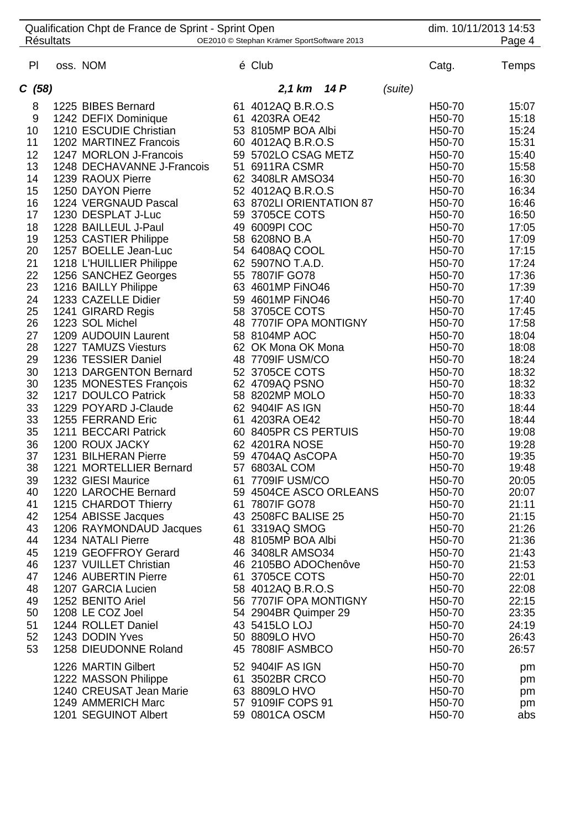| Qualification Chpt de France de Sprint - Sprint Open<br><b>Résultats</b><br>OE2010 © Stephan Krämer SportSoftware 2013 |  |                                             |  | dim. 10/11/2013 14:53<br>Page 4          |         |                                            |                |
|------------------------------------------------------------------------------------------------------------------------|--|---------------------------------------------|--|------------------------------------------|---------|--------------------------------------------|----------------|
|                                                                                                                        |  |                                             |  |                                          |         |                                            |                |
| PI                                                                                                                     |  | oss. NOM                                    |  | é Club                                   |         | Catg.                                      | Temps          |
| C(58)                                                                                                                  |  |                                             |  | 2,1 km 14 P                              | (suite) |                                            |                |
| 8                                                                                                                      |  | 1225 BIBES Bernard                          |  | 61 4012AQ B.R.O.S                        |         | H <sub>50</sub> -70                        | 15:07          |
| $9\,$                                                                                                                  |  | 1242 DEFIX Dominique                        |  | 61 4203RA OE42                           |         | H <sub>50</sub> -70                        | 15:18          |
| 10                                                                                                                     |  | 1210 ESCUDIE Christian                      |  | 53 8105MP BOA Albi                       |         | H <sub>50</sub> -70                        | 15:24          |
| 11                                                                                                                     |  | 1202 MARTINEZ Francois                      |  | 60 4012AQ B.R.O.S                        |         | H <sub>50</sub> -70                        | 15:31          |
| 12                                                                                                                     |  | 1247 MORLON J-Francois                      |  | 59 5702LO CSAG METZ                      |         | H50-70                                     | 15:40          |
| 13                                                                                                                     |  | 1248 DECHAVANNE J-Francois                  |  | 51 6911RA CSMR                           |         | H <sub>50</sub> -70                        | 15:58          |
| 14                                                                                                                     |  | 1239 RAOUX Pierre                           |  | 62 3408LR AMSO34                         |         | H <sub>50</sub> -70                        | 16:30          |
| 15                                                                                                                     |  | 1250 DAYON Pierre                           |  | 52 4012AQ B.R.O.S                        |         | H50-70                                     | 16:34          |
| 16                                                                                                                     |  | 1224 VERGNAUD Pascal                        |  | 63 8702LI ORIENTATION 87                 |         | H50-70                                     | 16:46          |
| 17                                                                                                                     |  | 1230 DESPLAT J-Luc                          |  | 59 3705CE COTS                           |         | H <sub>50</sub> -70                        | 16:50          |
| 18                                                                                                                     |  | 1228 BAILLEUL J-Paul                        |  | 49 6009PI COC                            |         | H50-70                                     | 17:05          |
| 19                                                                                                                     |  | 1253 CASTIER Philippe                       |  | 58 6208NO B.A                            |         | H50-70                                     | 17:09          |
| 20                                                                                                                     |  | 1257 BOELLE Jean-Luc                        |  | 54 6408AQ COOL                           |         | H <sub>50</sub> -70                        | 17:15          |
| 21                                                                                                                     |  | 1218 L'HUILLIER Philippe                    |  | 62 5907NO T.A.D.                         |         | H50-70                                     | 17:24          |
| 22                                                                                                                     |  | 1256 SANCHEZ Georges                        |  | 55 7807IF GO78                           |         | H50-70                                     | 17:36          |
| 23                                                                                                                     |  | 1216 BAILLY Philippe                        |  | 63 4601MP FINO46                         |         | H <sub>50</sub> -70                        | 17:39          |
| 24                                                                                                                     |  | 1233 CAZELLE Didier                         |  | 59 4601MP FINO46                         |         | H50-70                                     | 17:40          |
| 25<br>26                                                                                                               |  | 1241 GIRARD Regis<br>1223 SOL Michel        |  | 58 3705CE COTS<br>48 7707IF OPA MONTIGNY |         | H50-70<br>H <sub>50</sub> -70              | 17:45<br>17:58 |
| 27                                                                                                                     |  | 1209 AUDOUIN Laurent                        |  | 58 8104MP AOC                            |         | H50-70                                     | 18:04          |
| 28                                                                                                                     |  | 1227 TAMUZS Viesturs                        |  | 62 OK Mona OK Mona                       |         | H50-70                                     | 18:08          |
| 29                                                                                                                     |  | 1236 TESSIER Daniel                         |  | 48 7709IF USM/CO                         |         | H50-70                                     | 18:24          |
| 30                                                                                                                     |  | 1213 DARGENTON Bernard                      |  | 52 3705CE COTS                           |         | H50-70                                     | 18:32          |
| 30                                                                                                                     |  | 1235 MONESTES François                      |  | 62 4709AQ PSNO                           |         | H <sub>50</sub> -70                        | 18:32          |
| 32                                                                                                                     |  | 1217 DOULCO Patrick                         |  | 58 8202MP MOLO                           |         | H <sub>50</sub> -70                        | 18:33          |
| 33                                                                                                                     |  | 1229 POYARD J-Claude                        |  | 62 9404IF AS IGN                         |         | H <sub>50</sub> -70                        | 18:44          |
| 33                                                                                                                     |  | 1255 FERRAND Eric                           |  | 61 4203RA OE42                           |         | H <sub>50</sub> -70                        | 18:44          |
| 35                                                                                                                     |  | 1211 BECCARI Patrick                        |  | 60 8405PR CS PERTUIS                     |         | H <sub>50</sub> -70                        | 19:08          |
| 36                                                                                                                     |  | 1200 ROUX JACKY                             |  | 62 4201RA NOSE                           |         | H <sub>50</sub> -70                        | 19:28          |
| 37                                                                                                                     |  | 1231 BILHERAN Pierre                        |  | 59 4704AQ AsCOPA                         |         | H <sub>50</sub> -70                        | 19:35          |
| 38                                                                                                                     |  | 1221 MORTELLIER Bernard                     |  | 57 6803AL COM                            |         | H50-70                                     | 19:48          |
| 39                                                                                                                     |  | 1232 GIESI Maurice                          |  | 61 7709IF USM/CO                         |         | H50-70                                     | 20:05          |
| 40                                                                                                                     |  | 1220 LAROCHE Bernard                        |  | 59 4504CE ASCO ORLEANS                   |         | H <sub>50</sub> -70                        | 20:07          |
| 41                                                                                                                     |  | 1215 CHARDOT Thierry                        |  | 61 7807IF GO78                           |         | H <sub>50</sub> -70                        | 21:11          |
| 42                                                                                                                     |  | 1254 ABISSE Jacques                         |  | 43 2508FC BALISE 25                      |         | H50-70                                     | 21:15          |
| 43                                                                                                                     |  | 1206 RAYMONDAUD Jacques                     |  | 61 3319AQ SMOG                           |         | H <sub>50</sub> -70                        | 21:26          |
| 44                                                                                                                     |  | 1234 NATALI Pierre                          |  | 48 8105MP BOA Albi                       |         | H <sub>50</sub> -70                        | 21:36          |
| 45                                                                                                                     |  | 1219 GEOFFROY Gerard                        |  | 46 3408LR AMSO34                         |         | H <sub>50</sub> -70                        | 21:43          |
| 46                                                                                                                     |  | 1237 VUILLET Christian                      |  | 46 2105BO ADOChenôve                     |         | H <sub>50</sub> -70                        | 21:53          |
| 47                                                                                                                     |  | 1246 AUBERTIN Pierre                        |  | 61 3705CE COTS                           |         | H <sub>50</sub> -70                        | 22:01          |
| 48                                                                                                                     |  | 1207 GARCIA Lucien                          |  | 58 4012AQ B.R.O.S                        |         | H50-70                                     | 22:08          |
| 49                                                                                                                     |  | 1252 BENITO Ariel                           |  | 56 7707IF OPA MONTIGNY                   |         | H <sub>50</sub> -70                        | 22:15          |
| 50                                                                                                                     |  | 1208 LE COZ Joel                            |  | 54 2904BR Quimper 29                     |         | H <sub>50</sub> -70                        | 23:35          |
| 51                                                                                                                     |  | 1244 ROLLET Daniel                          |  | 43 5415LO LOJ                            |         | H50-70                                     | 24:19          |
| 52<br>53                                                                                                               |  | 1243 DODIN Yves<br>1258 DIEUDONNE Roland    |  | 50 8809LO HVO<br>45 7808IF ASMBCO        |         | H50-70<br>H50-70                           | 26:43<br>26:57 |
|                                                                                                                        |  |                                             |  |                                          |         |                                            |                |
|                                                                                                                        |  | 1226 MARTIN Gilbert<br>1222 MASSON Philippe |  | 52 9404IF AS IGN<br>61 3502BR CRCO       |         | H <sub>50</sub> -70<br>H <sub>50</sub> -70 | pm             |
|                                                                                                                        |  | 1240 CREUSAT Jean Marie                     |  | 63 8809LO HVO                            |         | H <sub>50</sub> -70                        | pm             |
|                                                                                                                        |  | 1249 AMMERICH Marc                          |  | 57 9109IF COPS 91                        |         | H <sub>50</sub> -70                        | pm<br>pm       |
|                                                                                                                        |  | 1201 SEGUINOT Albert                        |  | 59 0801CA OSCM                           |         | H50-70                                     | abs            |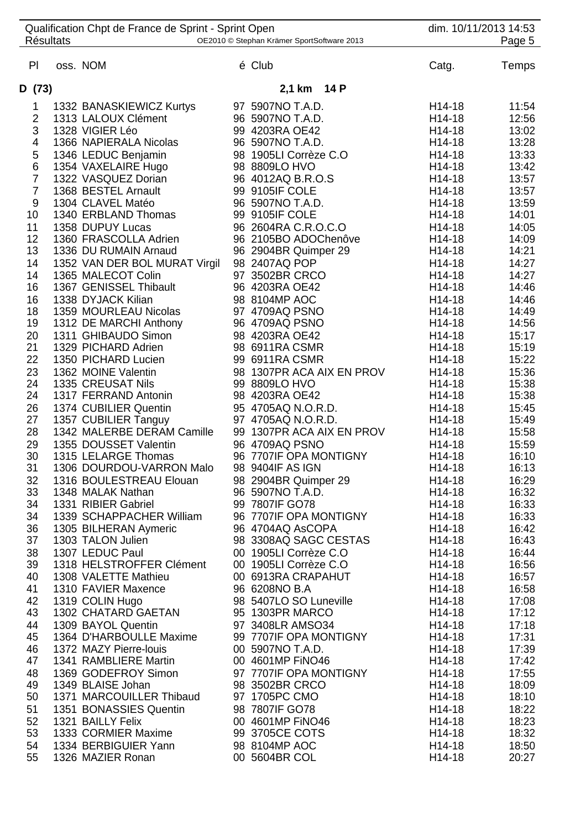| <b>Résultats</b> | Qualification Chpt de France de Sprint - Sprint Open | OE2010 © Stephan Krämer SportSoftware 2013     | dim. 10/11/2013 14:53 | Page 5         |
|------------------|------------------------------------------------------|------------------------------------------------|-----------------------|----------------|
| PI               | oss. NOM                                             | é Club                                         | Catg.                 | Temps          |
| D(73)            |                                                      | 2,1 km 14 P                                    |                       |                |
| 1                | 1332 BANASKIEWICZ Kurtys                             | 97 5907NO T.A.D.                               | H <sub>14</sub> -18   | 11:54          |
| $\overline{2}$   | 1313 LALOUX Clément                                  | 96 5907NO T.A.D.                               | H14-18                | 12:56          |
| 3                | 1328 VIGIER Léo                                      | 99 4203RA OE42                                 | H <sub>14</sub> -18   | 13:02          |
| 4                | 1366 NAPIERALA Nicolas                               | 96 5907NO T.A.D.                               | H14-18                | 13:28          |
| 5                | 1346 LEDUC Benjamin                                  | 98 1905LI Corrèze C.O                          | H <sub>14</sub> -18   | 13:33          |
| 6                | 1354 VAXELAIRE Hugo                                  | 98 8809LO HVO                                  | H <sub>14</sub> -18   | 13:42          |
| $\overline{7}$   | 1322 VASQUEZ Dorian                                  | 96 4012AQ B.R.O.S                              | H <sub>14</sub> -18   | 13:57          |
| $\overline{7}$   | 1368 BESTEL Arnault                                  | 99 9105IF COLE                                 | H14-18                | 13:57          |
| $\boldsymbol{9}$ | 1304 CLAVEL Matéo                                    | 96 5907NO T.A.D.                               | H14-18                | 13:59          |
| 10               | 1340 ERBLAND Thomas                                  | 99 9105IF COLE                                 | H <sub>14</sub> -18   | 14:01          |
| 11               | 1358 DUPUY Lucas                                     | 96 2604RA C.R.O.C.O                            | H14-18                | 14:05          |
| 12               | 1360 FRASCOLLA Adrien                                | 96 2105BO ADOChenôve                           | H14-18                | 14:09          |
| 13               | 1336 DU RUMAIN Arnaud                                | 96 2904BR Quimper 29                           | H14-18                | 14:21          |
| 14               | 1352 VAN DER BOL MURAT Virgil                        | 98 2407AQ POP                                  | H14-18                | 14:27          |
| 14               | 1365 MALECOT Colin                                   | 97 3502BR CRCO                                 | H14-18                | 14:27          |
| 16               | 1367 GENISSEL Thibault                               | 96 4203RA OE42                                 | H14-18                | 14:46          |
| 16               | 1338 DYJACK Kilian                                   | 98 8104MP AOC                                  | H14-18                | 14:46          |
| 18<br>19         | 1359 MOURLEAU Nicolas<br>1312 DE MARCHI Anthony      | 97 4709AQ PSNO<br>96 4709AQ PSNO               | H14-18<br>H14-18      | 14:49<br>14:56 |
| 20               | 1311 GHIBAUDO Simon                                  | 98 4203RA OE42                                 | H14-18                | 15:17          |
| 21               | 1329 PICHARD Adrien                                  | 98 6911RA CSMR                                 | H14-18                | 15:19          |
| 22               | 1350 PICHARD Lucien                                  | 99 6911RA CSMR                                 | H14-18                | 15:22          |
| 23               | 1362 MOINE Valentin                                  | 98 1307PR ACA AIX EN PROV                      | H14-18                | 15:36          |
| 24               | 1335 CREUSAT Nils                                    | 99 8809LO HVO                                  | H14-18                | 15:38          |
| 24               | 1317 FERRAND Antonin                                 | 98 4203RA OE42                                 | H14-18                | 15:38          |
| 26               | 1374 CUBILIER Quentin                                | 95 4705AQ N.O.R.D.                             | H14-18                | 15:45          |
| 27               | 1357 CUBILIER Tanguy                                 | 97 4705AQ N.O.R.D.                             | H <sub>14</sub> -18   | 15:49          |
| 28               | 1342 MALERBE DERAM Camille                           | 99 1307PR ACA AIX EN PROV                      | H <sub>14</sub> -18   | 15:58          |
| 29               | 1355 DOUSSET Valentin                                | 96 4709AQ PSNO                                 | H <sub>14</sub> -18   | 15:59          |
| 30               | 1315 LELARGE Thomas                                  | 96 7707IF OPA MONTIGNY                         | H <sub>14</sub> -18   | 16:10          |
| 31               | 1306 DOURDOU-VARRON Malo                             | 98 9404IF AS IGN                               | H14-18                | 16:13          |
| 32               | 1316 BOULESTREAU Elouan                              | 98 2904BR Quimper 29                           | H14-18                | 16:29          |
| 33               | 1348 MALAK Nathan                                    | 96 5907NO T.A.D.                               | H <sub>14</sub> -18   | 16:32          |
| 34               | 1331 RIBIER Gabriel                                  | 99 7807IF GO78                                 | H <sub>14</sub> -18   | 16:33          |
| 34               | 1339 SCHAPPACHER William                             | 96 7707IF OPA MONTIGNY                         | H14-18                | 16:33          |
| 36               | 1305 BILHERAN Aymeric                                | 96 4704AQ AsCOPA                               | H14-18                | 16:42          |
| 37<br>38         | 1303 TALON Julien<br>1307 LEDUC Paul                 | 98 3308AQ SAGC CESTAS<br>00 1905LI Corrèze C.O | H14-18<br>H14-18      | 16:43<br>16:44 |
| 39               | 1318 HELSTROFFER Clément                             | 00 1905LI Corrèze C.O                          | H14-18                | 16:56          |
| 40               | 1308 VALETTE Mathieu                                 | 00 6913RA CRAPAHUT                             | H14-18                | 16:57          |
| 41               | 1310 FAVIER Maxence                                  | 96 6208NO B.A                                  | H14-18                | 16:58          |
| 42               | 1319 COLIN Hugo                                      | 98 5407LO SO Luneville                         | H14-18                | 17:08          |
| 43               | 1302 CHATARD GAETAN                                  | 95 1303PR MARCO                                | H14-18                | 17:12          |
| 44               | 1309 BAYOL Quentin                                   | 97 3408LR AMSO34                               | H14-18                | 17:18          |
| 45               | 1364 D'HARBOULLE Maxime                              | 99 7707IF OPA MONTIGNY                         | H14-18                | 17:31          |
| 46               | 1372 MAZY Pierre-louis                               | 00 5907NO T.A.D.                               | H14-18                | 17:39          |
| 47               | 1341 RAMBLIERE Martin                                | 00 4601MP FINO46                               | H14-18                | 17:42          |
| 48               | 1369 GODEFROY Simon                                  | 97 7707IF OPA MONTIGNY                         | H14-18                | 17:55          |
| 49               | 1349 BLAISE Johan                                    | 98 3502BR CRCO                                 | H14-18                | 18:09          |
| 50               | 1371 MARCOUILLER Thibaud                             | 97 1705PC CMO                                  | H14-18                | 18:10          |
| 51               | 1351 BONASSIES Quentin                               | 98 7807IF GO78                                 | H14-18                | 18:22          |
| 52               | 1321 BAILLY Felix                                    | 00 4601MP FINO46                               | H <sub>14</sub> -18   | 18:23          |
| 53               | 1333 CORMIER Maxime                                  | 99 3705CE COTS                                 | H <sub>14</sub> -18   | 18:32          |
| 54               | 1334 BERBIGUIER Yann                                 | 98 8104MP AOC                                  | H14-18                | 18:50          |
| 55               | 1326 MAZIER Ronan                                    | 00 5604BR COL                                  | H14-18                | 20:27          |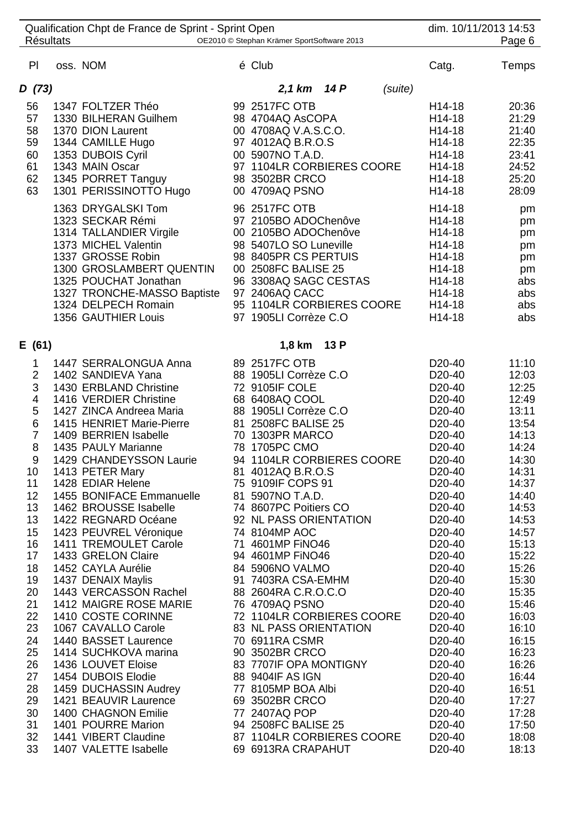| <b>Résultats</b>                                                                                                                                  | Qualification Chpt de France de Sprint - Sprint Open                                                                                                                                                                                                                                                                                                                                                                                                                                                                                                  | OE2010 © Stephan Krämer SportSoftware 2013                                                                                                                                                                                                                                                                                                                                                                                                                                           | dim. 10/11/2013 14:53<br>Page 6                                                                                                                                                                                                                                                                                                                                                                                                                                                                                                                                                                                                                                                                                 |
|---------------------------------------------------------------------------------------------------------------------------------------------------|-------------------------------------------------------------------------------------------------------------------------------------------------------------------------------------------------------------------------------------------------------------------------------------------------------------------------------------------------------------------------------------------------------------------------------------------------------------------------------------------------------------------------------------------------------|--------------------------------------------------------------------------------------------------------------------------------------------------------------------------------------------------------------------------------------------------------------------------------------------------------------------------------------------------------------------------------------------------------------------------------------------------------------------------------------|-----------------------------------------------------------------------------------------------------------------------------------------------------------------------------------------------------------------------------------------------------------------------------------------------------------------------------------------------------------------------------------------------------------------------------------------------------------------------------------------------------------------------------------------------------------------------------------------------------------------------------------------------------------------------------------------------------------------|
| P <sub>1</sub>                                                                                                                                    | oss. NOM                                                                                                                                                                                                                                                                                                                                                                                                                                                                                                                                              | é Club                                                                                                                                                                                                                                                                                                                                                                                                                                                                               | Catg.<br>Temps                                                                                                                                                                                                                                                                                                                                                                                                                                                                                                                                                                                                                                                                                                  |
| D(73)                                                                                                                                             |                                                                                                                                                                                                                                                                                                                                                                                                                                                                                                                                                       | (suite)<br>2,1 km 14 P                                                                                                                                                                                                                                                                                                                                                                                                                                                               |                                                                                                                                                                                                                                                                                                                                                                                                                                                                                                                                                                                                                                                                                                                 |
| 56<br>57<br>58<br>59<br>60<br>61<br>62<br>63                                                                                                      | 1347 FOLTZER Théo<br>1330 BILHERAN Guilhem<br>1370 DION Laurent<br>1344 CAMILLE Hugo<br>1353 DUBOIS Cyril<br>1343 MAIN Oscar<br>1345 PORRET Tanguy<br>1301 PERISSINOTTO Hugo                                                                                                                                                                                                                                                                                                                                                                          | 99 2517FC OTB<br>98 4704AQ AsCOPA<br>00 4708AQ V.A.S.C.O.<br>97 4012AQ B.R.O.S<br>00 5907NO T.A.D.<br>97 1104LR CORBIERES COORE<br>98 3502BR CRCO<br>00 4709AQ PSNO                                                                                                                                                                                                                                                                                                                  | H14-18<br>20:36<br>21:29<br>H14-18<br>H14-18<br>21:40<br>H14-18<br>22:35<br>H14-18<br>23:41<br>24:52<br>H14-18<br>25:20<br>H14-18<br>H14-18<br>28:09                                                                                                                                                                                                                                                                                                                                                                                                                                                                                                                                                            |
|                                                                                                                                                   | 1363 DRYGALSKI Tom<br>1323 SECKAR Rémi<br>1314 TALLANDIER Virgile<br>1373 MICHEL Valentin<br>1337 GROSSE Robin<br>1300 GROSLAMBERT QUENTIN<br>1325 POUCHAT Jonathan<br>1327 TRONCHE-MASSO Baptiste 97 2406AQ CACC<br>1324 DELPECH Romain<br>1356 GAUTHIER Louis                                                                                                                                                                                                                                                                                       | 96 2517FC OTB<br>97 2105BO ADOChenôve<br>00 2105BO ADOChenôve<br>98 5407LO SO Luneville<br>98 8405PR CS PERTUIS<br>00 2508FC BALISE 25<br>96 3308AQ SAGC CESTAS<br>95 1104LR CORBIERES COORE<br>97 1905LI Corrèze C.O                                                                                                                                                                                                                                                                | H14-18<br>pm<br>H14-18<br>pm<br>H14-18<br>pm<br>H14-18<br>pm<br>H14-18<br>pm<br>H14-18<br>pm<br>H14-18<br>abs<br>H14-18<br>abs<br>H14-18<br>abs<br>H14-18<br>abs                                                                                                                                                                                                                                                                                                                                                                                                                                                                                                                                                |
| E(61)                                                                                                                                             |                                                                                                                                                                                                                                                                                                                                                                                                                                                                                                                                                       | 13 P<br>$1,8$ km                                                                                                                                                                                                                                                                                                                                                                                                                                                                     |                                                                                                                                                                                                                                                                                                                                                                                                                                                                                                                                                                                                                                                                                                                 |
| 1<br>$\overline{2}$<br>3<br>4<br>5<br>6<br>$\overline{7}$<br>8<br>9<br>10<br>11<br>12<br>13<br>13<br>15<br>16<br>17<br>18<br>19<br>20<br>21<br>22 | 1447 SERRALONGUA Anna<br>1402 SANDIEVA Yana<br>1430 ERBLAND Christine<br>1416 VERDIER Christine<br>1427 ZINCA Andreea Maria<br>1415 HENRIET Marie-Pierre<br>1409 BERRIEN Isabelle<br>1435 PAULY Marianne<br>1429 CHANDEYSSON Laurie<br>1413 PETER Mary<br>1428 EDIAR Helene<br>1455 BONIFACE Emmanuelle<br>1462 BROUSSE Isabelle<br>1422 REGNARD Océane<br>1423 PEUVREL Véronique<br>1411 TREMOULET Carole<br>1433 GRELON Claire<br>1452 CAYLA Aurélie<br>1437 DENAIX Maylis<br>1443 VERCASSON Rachel<br>1412 MAIGRE ROSE MARIE<br>1410 COSTE CORINNE | 89 2517FC OTB<br>88 1905LI Corrèze C.O<br>72 9105IF COLE<br>68 6408AQ COOL<br>88 1905LI Corrèze C.O<br>81 2508FC BALISE 25<br>70 1303PR MARCO<br>78 1705PC CMO<br>94 1104LR CORBIERES COORE<br>81 4012AQ B.R.O.S<br>75 9109IF COPS 91<br>81 5907NO T.A.D.<br>74 8607PC Poitiers CO<br>92 NL PASS ORIENTATION<br>74 8104MP AOC<br>71 4601MP FINO46<br>94 4601MP FINO46<br>84 5906NO VALMO<br>91 7403RA CSA-EMHM<br>88 2604RA C.R.O.C.O<br>76 4709AQ PSNO<br>72 1104LR CORBIERES COORE | 11:10<br>D <sub>20</sub> -40<br>D <sub>20</sub> -40<br>12:03<br>12:25<br>D <sub>20</sub> -40<br>12:49<br>D <sub>20</sub> -40<br>13:11<br>D <sub>20</sub> -40<br>13:54<br>D <sub>20</sub> -40<br>D <sub>20</sub> -40<br>14:13<br>D <sub>20</sub> -40<br>14:24<br>D20-40<br>14:30<br>D <sub>20</sub> -40<br>14:31<br>D <sub>20</sub> -40<br>14:37<br>D <sub>20</sub> -40<br>14:40<br>14:53<br>D <sub>20</sub> -40<br>D <sub>20</sub> -40<br>14:53<br>14:57<br>D <sub>20</sub> -40<br>D <sub>20</sub> -40<br>15:13<br>D <sub>20</sub> -40<br>15:22<br>15:26<br>D <sub>20</sub> -40<br>D <sub>20</sub> -40<br>15:30<br>15:35<br>D <sub>20</sub> -40<br>D <sub>20</sub> -40<br>15:46<br>16:03<br>D <sub>20</sub> -40 |
| 23<br>24<br>25<br>26<br>27<br>28<br>29<br>30<br>31<br>32<br>33                                                                                    | 1067 CAVALLO Carole<br>1440 BASSET Laurence<br>1414 SUCHKOVA marina<br>1436 LOUVET Eloise<br>1454 DUBOIS Elodie<br>1459 DUCHASSIN Audrey<br>1421 BEAUVIR Laurence<br>1400 CHAGNON Emilie<br>1401 POURRE Marion<br>1441 VIBERT Claudine<br>1407 VALETTE Isabelle                                                                                                                                                                                                                                                                                       | 83 NL PASS ORIENTATION<br>70 6911RA CSMR<br>90 3502BR CRCO<br>83 7707IF OPA MONTIGNY<br>88 9404IF AS IGN<br>77 8105MP BOA Albi<br>69 3502BR CRCO<br>77 2407AQ POP<br>94 2508FC BALISE 25<br>87 1104LR CORBIERES COORE<br>69 6913RA CRAPAHUT                                                                                                                                                                                                                                          | D <sub>20</sub> -40<br>16:10<br>16:15<br>D <sub>20</sub> -40<br>D <sub>20</sub> -40<br>16:23<br>16:26<br>D <sub>20</sub> -40<br>D <sub>20</sub> -40<br>16:44<br>D <sub>20</sub> -40<br>16:51<br>17:27<br>D <sub>20</sub> -40<br>17:28<br>D <sub>20</sub> -40<br>D <sub>20</sub> -40<br>17:50<br>D <sub>20</sub> -40<br>18:08<br>D20-40<br>18:13                                                                                                                                                                                                                                                                                                                                                                 |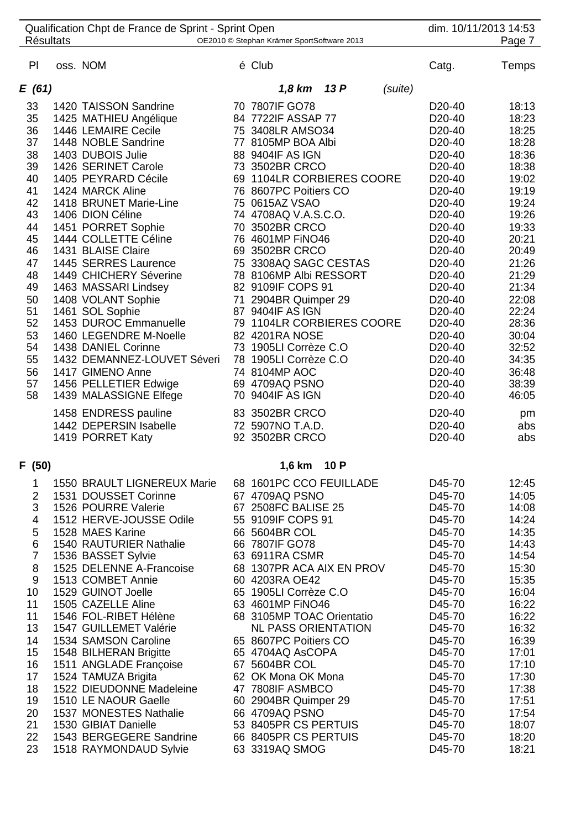| <b>Résultats</b> | Qualification Chpt de France de Sprint - Sprint Open | OE2010 © Stephan Krämer SportSoftware 2013 |         |                                            | dim. 10/11/2013 14:53<br>Page 7 |
|------------------|------------------------------------------------------|--------------------------------------------|---------|--------------------------------------------|---------------------------------|
| PI               | oss. NOM                                             | é Club                                     |         | Catg.                                      | Temps                           |
|                  |                                                      | 1,8 km 13 P                                |         |                                            |                                 |
| E(61)            |                                                      |                                            | (suite) |                                            |                                 |
| 33               | 1420 TAISSON Sandrine                                | 70 7807IF GO78                             |         | D <sub>20</sub> -40                        | 18:13                           |
| 35               | 1425 MATHIEU Angélique                               | 84 7722IF ASSAP 77                         |         | D <sub>20</sub> -40                        | 18:23                           |
| 36               | 1446 LEMAIRE Cecile                                  | 75 3408LR AMSO34                           |         | D <sub>20</sub> -40                        | 18:25                           |
| 37               | 1448 NOBLE Sandrine                                  | 77 8105MP BOA Albi                         |         | D <sub>20</sub> -40                        | 18:28                           |
| 38               | 1403 DUBOIS Julie                                    | 88 9404IF AS IGN                           |         | D <sub>20</sub> -40                        | 18:36                           |
| 39               | 1426 SERINET Carole                                  | 73 3502BR CRCO                             |         | D <sub>20</sub> -40                        | 18:38                           |
| 40               | 1405 PEYRARD Cécile                                  | 69 1104LR CORBIERES COORE                  |         | D <sub>20</sub> -40                        | 19:02                           |
| 41               | 1424 MARCK Aline                                     | 76 8607PC Poitiers CO                      |         | D <sub>20</sub> -40                        | 19:19                           |
| 42               | 1418 BRUNET Marie-Line                               | 75 0615AZ VSAO                             |         | D <sub>20</sub> -40                        | 19:24                           |
| 43               | 1406 DION Céline                                     | 74 4708AQ V.A.S.C.O.                       |         | D <sub>20</sub> -40                        | 19:26                           |
| 44               | 1451 PORRET Sophie                                   | 70 3502BR CRCO                             |         | D <sub>20</sub> -40                        | 19:33                           |
| 45               | 1444 COLLETTE Céline                                 | 76 4601MP FINO46                           |         | D <sub>20</sub> -40                        | 20:21                           |
| 46               | 1431 BLAISE Claire                                   | 69 3502BR CRCO                             |         | D <sub>20</sub> -40                        | 20:49                           |
| 47               | 1445 SERRES Laurence                                 | 75 3308AQ SAGC CESTAS                      |         | D <sub>20</sub> -40                        | 21:26                           |
| 48               | 1449 CHICHERY Séverine                               | 78 8106MP Albi RESSORT                     |         | D <sub>20</sub> -40                        | 21:29                           |
| 49               | 1463 MASSARI Lindsey                                 | 82 9109IF COPS 91                          |         | D <sub>20</sub> -40                        | 21:34                           |
| 50               | 1408 VOLANT Sophie                                   | 71 2904BR Quimper 29                       |         | D <sub>20</sub> -40                        | 22:08                           |
| 51               | 1461 SOL Sophie                                      | 87 9404IF AS IGN                           |         | D <sub>20</sub> -40                        | 22:24                           |
| 52               | 1453 DUROC Emmanuelle                                | 79 1104LR CORBIERES COORE                  |         | D <sub>20</sub> -40                        | 28:36                           |
| 53               | 1460 LEGENDRE M-Noelle                               | 82 4201RA NOSE                             |         | D <sub>20</sub> -40                        | 30:04                           |
| 54<br>55         | 1438 DANIEL Corinne<br>1432 DEMANNEZ-LOUVET Séveri   | 73 1905LI Corrèze C.O                      |         | D <sub>20</sub> -40                        | 32:52                           |
| 56               | 1417 GIMENO Anne                                     | 78 1905LI Corrèze C.O<br>74 8104MP AOC     |         | D <sub>20</sub> -40<br>D <sub>20</sub> -40 | 34:35<br>36:48                  |
| 57               | 1456 PELLETIER Edwige                                | 69 4709AQ PSNO                             |         | D <sub>20</sub> -40                        | 38:39                           |
| 58               | 1439 MALASSIGNE Elfege                               | 70 9404IF AS IGN                           |         | D <sub>20</sub> -40                        | 46:05                           |
|                  | 1458 ENDRESS pauline                                 | 83 3502BR CRCO                             |         | D <sub>20</sub> -40                        |                                 |
|                  | 1442 DEPERSIN Isabelle                               | 72 5907NO T.A.D.                           |         | D <sub>20</sub> -40                        | pm<br>abs                       |
|                  | 1419 PORRET Katy                                     | 92 3502BR CRCO                             |         | D <sub>20</sub> -40                        | abs                             |
|                  |                                                      |                                            |         |                                            |                                 |
| F (50)           |                                                      | 1,6 km 10 P                                |         |                                            |                                 |
| 1                | 1550 BRAULT LIGNEREUX Marie                          | 68 1601PC CCO FEUILLADE                    |         | D45-70                                     | 12:45                           |
| $\overline{2}$   | 1531 DOUSSET Corinne                                 | 67 4709AQ PSNO                             |         | D45-70                                     | 14:05                           |
| 3                | 1526 POURRE Valerie                                  | 67 2508FC BALISE 25                        |         | D45-70                                     | 14:08                           |
| 4                | 1512 HERVE-JOUSSE Odile                              | 55 9109IF COPS 91                          |         | D45-70                                     | 14:24                           |
| 5                | 1528 MAES Karine                                     | 66 5604BR COL                              |         | D45-70                                     | 14:35                           |
| $\,6$            | 1540 RAUTURIER Nathalie                              | 66 7807IF GO78                             |         | D45-70                                     | 14:43                           |
| $\overline{7}$   | 1536 BASSET Sylvie                                   | 63 6911RA CSMR                             |         | D45-70                                     | 14:54                           |
| 8                | 1525 DELENNE A-Francoise                             | 68 1307PR ACA AIX EN PROV                  |         | D45-70                                     | 15:30                           |
| $9\,$            | 1513 COMBET Annie                                    | 60 4203RA OE42                             |         | D45-70                                     | 15:35                           |
| 10               | 1529 GUINOT Joelle                                   | 65 1905LI Corrèze C.O                      |         | D45-70                                     | 16:04                           |
| 11               | 1505 CAZELLE Aline                                   | 63 4601MP FINO46                           |         | D45-70                                     | 16:22                           |
| 11               | 1546 FOL-RIBET Hélène                                | 68 3105MP TOAC Orientatio                  |         | D45-70                                     | 16:22                           |
| 13               | 1547 GUILLEMET Valérie                               | <b>NL PASS ORIENTATION</b>                 |         | D45-70                                     | 16:32                           |
| 14               | 1534 SAMSON Caroline                                 | 65 8607PC Poitiers CO                      |         | D45-70                                     | 16:39                           |
| 15<br>16         | 1548 BILHERAN Brigitte<br>1511 ANGLADE Françoise     | 65 4704AQ AsCOPA<br>67 5604BR COL          |         | D45-70<br>D45-70                           | 17:01<br>17:10                  |
| 17               | 1524 TAMUZA Brigita                                  | 62 OK Mona OK Mona                         |         | D45-70                                     | 17:30                           |
| 18               | 1522 DIEUDONNE Madeleine                             | 47 7808IF ASMBCO                           |         | D45-70                                     | 17:38                           |
| 19               | 1510 LE NAOUR Gaelle                                 | 60 2904BR Quimper 29                       |         | D45-70                                     | 17:51                           |
| 20               | 1537 MONESTES Nathalie                               | 66 4709AQ PSNO                             |         | D45-70                                     | 17:54                           |
| 21               | 1530 GIBIAT Danielle                                 | 53 8405PR CS PERTUIS                       |         | D45-70                                     | 18:07                           |
| 22               | 1543 BERGEGERE Sandrine                              | 66 8405PR CS PERTUIS                       |         | D45-70                                     | 18:20                           |
| 23               | 1518 RAYMONDAUD Sylvie                               | 63 3319AQ SMOG                             |         | D45-70                                     | 18:21                           |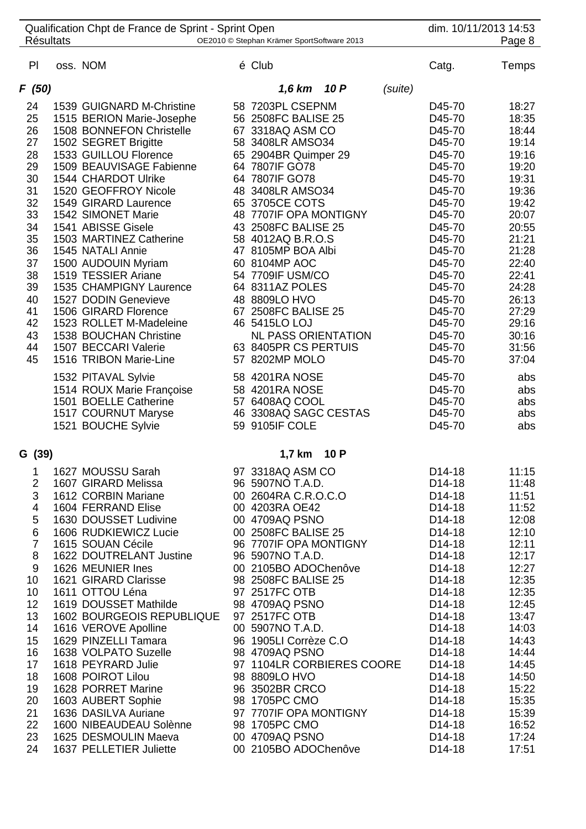|                  |          | Qualification Chpt de France de Sprint - Sprint Open |                                             |         |                               | dim. 10/11/2013 14:53 |
|------------------|----------|------------------------------------------------------|---------------------------------------------|---------|-------------------------------|-----------------------|
| <b>Résultats</b> |          |                                                      | OE2010 © Stephan Krämer SportSoftware 2013  |         |                               | Page 8                |
| P <sub>1</sub>   | oss. NOM |                                                      | é Club                                      |         | Catg.                         | Temps                 |
| F(50)            |          |                                                      | 1,6 km 10 P                                 | (suite) |                               |                       |
| 24               |          | 1539 GUIGNARD M-Christine                            | 58 7203PL CSEPNM                            |         | D45-70                        | 18:27                 |
| 25               |          | 1515 BERION Marie-Josephe                            | 56 2508FC BALISE 25                         |         | D45-70                        | 18:35                 |
| 26               |          | 1508 BONNEFON Christelle                             | 67 3318AQ ASM CO                            |         | D45-70                        | 18:44                 |
| 27               |          | 1502 SEGRET Brigitte                                 | 58 3408LR AMSO34                            |         | D45-70                        | 19:14                 |
| 28<br>29         |          | 1533 GUILLOU Florence<br>1509 BEAUVISAGE Fabienne    | 65 2904BR Quimper 29<br>64 7807IF GO78      |         | D45-70<br>D45-70              | 19:16<br>19:20        |
| 30               |          | 1544 CHARDOT Ulrike                                  | 64 7807IF GO78                              |         | D45-70                        | 19:31                 |
| 31               |          | 1520 GEOFFROY Nicole                                 | 48 3408LR AMSO34                            |         | D45-70                        | 19:36                 |
| 32               |          | 1549 GIRARD Laurence                                 | 65 3705CE COTS                              |         | D45-70                        | 19:42                 |
| 33               |          | 1542 SIMONET Marie                                   | 48 7707IF OPA MONTIGNY                      |         | D45-70                        | 20:07                 |
| 34               |          | 1541 ABISSE Gisele                                   | 43 2508FC BALISE 25                         |         | D45-70                        | 20:55                 |
| 35<br>36         |          | 1503 MARTINEZ Catherine<br>1545 NATALI Annie         | 58 4012AQ B.R.O.S<br>47 8105MP BOA Albi     |         | D45-70<br>D45-70              | 21:21<br>21:28        |
| 37               |          | 1500 AUDOUIN Myriam                                  | 60 8104MP AOC                               |         | D45-70                        | 22:40                 |
| 38               |          | 1519 TESSIER Ariane                                  | 54 7709IF USM/CO                            |         | D45-70                        | 22:41                 |
| 39               |          | 1535 CHAMPIGNY Laurence                              | 64 8311AZ POLES                             |         | D45-70                        | 24:28                 |
| 40               |          | 1527 DODIN Genevieve                                 | 48 8809LO HVO                               |         | D45-70                        | 26:13                 |
| 41               |          | 1506 GIRARD Florence                                 | 67 2508FC BALISE 25                         |         | D45-70                        | 27:29                 |
| 42<br>43         |          | 1523 ROLLET M-Madeleine<br>1538 BOUCHAN Christine    | 46 5415LO LOJ<br><b>NL PASS ORIENTATION</b> |         | D45-70<br>D45-70              | 29:16<br>30:16        |
| 44               |          | 1507 BECCARI Valerie                                 | 63 8405PR CS PERTUIS                        |         | D45-70                        | 31:56                 |
| 45               |          | 1516 TRIBON Marie-Line                               | 57 8202MP MOLO                              |         | D45-70                        | 37:04                 |
|                  |          | 1532 PITAVAL Sylvie                                  | 58 4201RA NOSE                              |         | D45-70                        | abs                   |
|                  |          | 1514 ROUX Marie Françoise                            | 58 4201RA NOSE                              |         | D45-70                        | abs                   |
|                  |          | 1501 BOELLE Catherine                                | 57 6408AQ COOL                              |         | D45-70                        | abs                   |
|                  |          | 1517 COURNUT Maryse                                  | 46 3308AQ SAGC CESTAS                       |         | D45-70                        | abs                   |
|                  |          | 1521 BOUCHE Sylvie                                   | 59 9105IF COLE                              |         | D45-70                        | abs                   |
| G(39)            |          |                                                      | 10 P<br>$1,7$ km                            |         |                               |                       |
| 1                |          | 1627 MOUSSU Sarah                                    | 97 3318AQ ASM CO                            |         | D14-18                        | 11:15                 |
| $\overline{2}$   |          | 1607 GIRARD Melissa                                  | 96 5907NO T.A.D.                            |         | D <sub>14</sub> -18           | 11:48                 |
| 3                |          | 1612 CORBIN Mariane                                  | 00 2604RA C.R.O.C.O                         |         | D <sub>14</sub> -18           | 11:51                 |
| 4                |          | 1604 FERRAND Elise<br>1630 DOUSSET Ludivine          | 00 4203RA OE42<br>00 4709AQ PSNO            |         | D14-18<br>D14-18              | 11:52<br>12:08        |
| 5<br>6           |          | 1606 RUDKIEWICZ Lucie                                | 00 2508FC BALISE 25                         |         | D <sub>14</sub> -18           | 12:10                 |
| $\overline{7}$   |          | 1615 SOUAN Cécile                                    | 96 7707IF OPA MONTIGNY                      |         | D <sub>14</sub> -18           | 12:11                 |
| 8                |          | 1622 DOUTRELANT Justine                              | 96 5907NO T.A.D.                            |         | D <sub>14</sub> -18           | 12:17                 |
| 9                |          | 1626 MEUNIER Ines                                    | 00 2105BO ADOChenôve                        |         | D14-18                        | 12:27                 |
| 10               |          | 1621 GIRARD Clarisse                                 | 98 2508FC BALISE 25                         |         | D <sub>14</sub> -18           | 12:35                 |
| 10<br>12         |          | 1611 OTTOU Léna<br>1619 DOUSSET Mathilde             | 97 2517FC OTB<br>98 4709AQ PSNO             |         | D14-18<br>D <sub>14</sub> -18 | 12:35<br>12:45        |
| 13               |          | <b>1602 BOURGEOIS REPUBLIQUE</b>                     | 97 2517FC OTB                               |         | D14-18                        | 13:47                 |
| 14               |          | 1616 VEROVE Apolline                                 | 00 5907NO T.A.D.                            |         | D14-18                        | 14:03                 |
| 15               |          | 1629 PINZELLI Tamara                                 | 96 1905LI Corrèze C.O                       |         | D14-18                        | 14:43                 |
| 16               |          | 1638 VOLPATO Suzelle                                 | 98 4709AQ PSNO                              |         | D14-18                        | 14:44                 |
| 17               |          | 1618 PEYRARD Julie                                   | 97 1104LR CORBIERES COORE                   |         | D14-18                        | 14:45                 |
| 18<br>19         |          | 1608 POIROT Lilou<br>1628 PORRET Marine              | 98 8809LO HVO<br>96 3502BR CRCO             |         | D14-18<br>D14-18              | 14:50<br>15:22        |
| 20               |          | 1603 AUBERT Sophie                                   | 98 1705PC CMO                               |         | D <sub>14</sub> -18           | 15:35                 |
| 21               |          | 1636 DASILVA Auriane                                 | 97 7707IF OPA MONTIGNY                      |         | D <sub>14</sub> -18           | 15:39                 |
| 22               |          | 1600 NIBEAUDEAU Solènne                              | 98 1705PC CMO                               |         | D14-18                        | 16:52                 |
| 23               |          | 1625 DESMOULIN Maeva                                 | 00 4709AQ PSNO                              |         | D14-18                        | 17:24                 |
| 24               |          | 1637 PELLETIER Juliette                              | 00 2105BO ADOChenôve                        |         | D14-18                        | 17:51                 |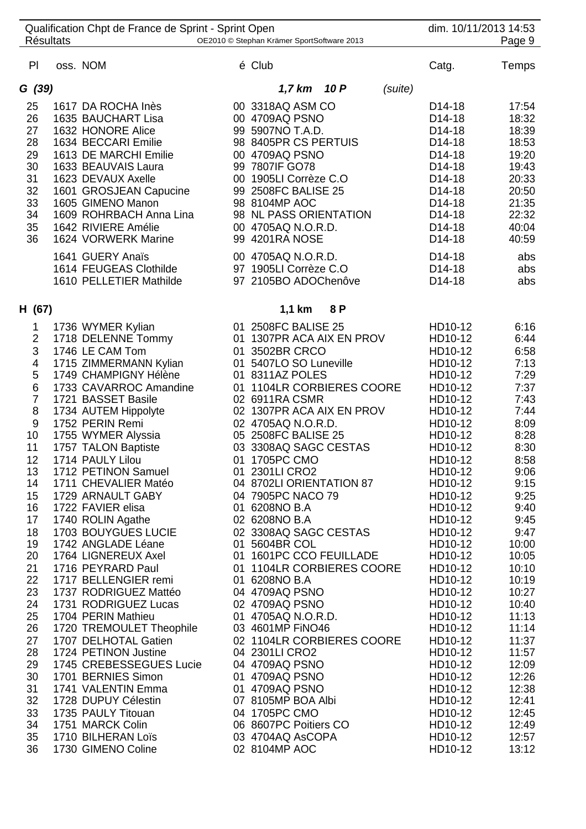|                | Qualification Chpt de France de Sprint - Sprint Open<br><b>Résultats</b> | OE2010 © Stephan Krämer SportSoftware 2013 | dim. 10/11/2013 14:53 | Page 9 |
|----------------|--------------------------------------------------------------------------|--------------------------------------------|-----------------------|--------|
| PI             | oss. NOM                                                                 | é Club                                     | Catg.                 | Temps  |
| G(39)          |                                                                          | (suite)<br>1,7 km 10 P                     |                       |        |
| 25             | 1617 DA ROCHA Inès                                                       | 00 3318AQ ASM CO                           | D <sub>14</sub> -18   | 17:54  |
| 26             | 1635 BAUCHART Lisa                                                       | 00 4709AQ PSNO                             | D <sub>14</sub> -18   | 18:32  |
| 27             | 1632 HONORE Alice                                                        | 99 5907NO T.A.D.                           | D14-18                | 18:39  |
| 28             | 1634 BECCARI Emilie                                                      | 98 8405PR CS PERTUIS                       | D14-18                | 18:53  |
| 29             | 1613 DE MARCHI Emilie                                                    | 00 4709AQ PSNO                             | D14-18                | 19:20  |
| 30             | 1633 BEAUVAIS Laura                                                      | 99 7807IF GO78                             | D14-18                | 19:43  |
| 31             | 1623 DEVAUX Axelle                                                       | 00 1905LI Corrèze C.O                      | D14-18                | 20:33  |
| 32             | 1601 GROSJEAN Capucine                                                   | 99 2508FC BALISE 25                        | D <sub>14</sub> -18   | 20:50  |
| 33             | 1605 GIMENO Manon                                                        | 98 8104MP AOC                              | D14-18                | 21:35  |
| 34             | 1609 ROHRBACH Anna Lina                                                  | 98 NL PASS ORIENTATION                     | D <sub>14</sub> -18   | 22:32  |
| 35             | 1642 RIVIERE Amélie                                                      | 00 4705AQ N.O.R.D.                         | D <sub>14</sub> -18   | 40:04  |
| 36             | 1624 VORWERK Marine                                                      | 99 4201RA NOSE                             | D <sub>14</sub> -18   | 40:59  |
|                | 1641 GUERY Anaïs                                                         | 00 4705AQ N.O.R.D.                         | D <sub>14</sub> -18   | abs    |
|                | 1614 FEUGEAS Clothilde                                                   | 97 1905LI Corrèze C.O                      | D <sub>14</sub> -18   | abs    |
|                | 1610 PELLETIER Mathilde                                                  | 97 2105BO ADOChenôve                       | D14-18                | abs    |
| H (67)         |                                                                          | $1,1$ km<br>8P                             |                       |        |
| 1              | 1736 WYMER Kylian                                                        | 01 2508FC BALISE 25                        | HD10-12               | 6:16   |
| $\overline{2}$ | 1718 DELENNE Tommy                                                       | 01 1307PR ACA AIX EN PROV                  | HD10-12               | 6:44   |
| 3              | 1746 LE CAM Tom                                                          | 01 3502BR CRCO                             | HD10-12               | 6:58   |
| 4              | 1715 ZIMMERMANN Kylian                                                   | 01 5407LO SO Luneville                     | HD10-12               | 7:13   |
| 5              | 1749 CHAMPIGNY Hélène                                                    | 01 8311AZ POLES                            | HD10-12               | 7:29   |
| 6              | 1733 CAVARROC Amandine                                                   | 01 1104LR CORBIERES COORE                  | HD10-12               | 7:37   |
| 7              | 1721 BASSET Basile                                                       | 02 6911RA CSMR                             | HD10-12               | 7:43   |
| 8              | 1734 AUTEM Hippolyte                                                     | 02 1307PR ACA AIX EN PROV                  | HD10-12               | 7:44   |
| $9\,$          | 1752 PERIN Remi                                                          | 02 4705AQ N.O.R.D.                         | HD10-12               | 8:09   |
| 10             | 1755 WYMER Alyssia                                                       | 05 2508FC BALISE 25                        | HD10-12               | 8:28   |
| 11             | 1757 TALON Baptiste                                                      | 03 3308AQ SAGC CESTAS                      | HD10-12               | 8:30   |
| 12             | 1714 PAULY Lilou                                                         | 01 1705PC CMO                              | HD10-12               | 8:58   |
| 13             | 1712 PETINON Samuel                                                      | 01 2301LI CRO2                             | HD10-12               | 9:06   |
| 14             | 1711 CHEVALIER Matéo                                                     | 04 8702LI ORIENTATION 87                   | HD10-12               | 9:15   |
| 15             | 1729 ARNAULT GABY                                                        | 04 7905PC NACO 79                          | HD10-12               | 9:25   |
| 16             | 1722 FAVIER elisa                                                        | 01 6208NO B.A                              | HD10-12               | 9:40   |
| 17             | 1740 ROLIN Agathe                                                        | 02 6208NO B.A                              | HD10-12               | 9:45   |
| 18             | 1703 BOUYGUES LUCIE                                                      | 02 3308AQ SAGC CESTAS                      | HD10-12               | 9:47   |
| 19             | 1742 ANGLADE Léane                                                       | 01 5604BR COL                              | HD10-12               | 10:00  |
| 20             | 1764 LIGNEREUX Axel                                                      | 01 1601PC CCO FEUILLADE                    | HD10-12               | 10:05  |
| 21             | 1716 PEYRARD Paul                                                        | 01 1104LR CORBIERES COORE                  | HD10-12               | 10:10  |
| 22             | 1717 BELLENGIER remi                                                     | 01 6208NO B.A                              | HD10-12               | 10:19  |
| 23             | 1737 RODRIGUEZ Mattéo                                                    | 04 4709AQ PSNO                             | HD10-12               | 10:27  |
| 24             | 1731 RODRIGUEZ Lucas                                                     | 02 4709AQ PSNO                             | HD10-12               | 10:40  |
| 25             | 1704 PERIN Mathieu                                                       | 01 4705AQ N.O.R.D.                         | HD10-12               | 11:13  |
| 26             | 1720 TREMOULET Theophile                                                 | 03 4601MP FINO46                           | HD10-12               | 11:14  |
| 27             | 1707 DELHOTAL Gatien                                                     | 02 1104LR CORBIERES COORE                  | HD10-12               | 11:37  |
| 28             | 1724 PETINON Justine                                                     | 04 2301LI CRO2                             | HD10-12               | 11:57  |
| 29             | 1745 CREBESSEGUES Lucie                                                  | 04 4709AQ PSNO                             | HD10-12               | 12:09  |
| 30             | 1701 BERNIES Simon                                                       | 01 4709AQ PSNO                             | HD10-12               | 12:26  |
| 31             | 1741 VALENTIN Emma                                                       | 01 4709AQ PSNO                             | HD10-12               | 12:38  |
| 32             | 1728 DUPUY Célestin                                                      | 07 8105MP BOA Albi                         | HD10-12               | 12:41  |
| 33             | 1735 PAULY Titouan                                                       | 04 1705PC CMO                              | HD10-12               | 12:45  |
| 34             | 1751 MARCK Colin                                                         | 06 8607PC Poitiers CO                      | HD10-12               | 12:49  |
| 35             | 1710 BILHERAN Loïs                                                       | 03 4704AQ AsCOPA                           | HD10-12               | 12:57  |
| 36             | 1730 GIMENO Coline                                                       | 02 8104MP AOC                              | HD10-12               | 13:12  |